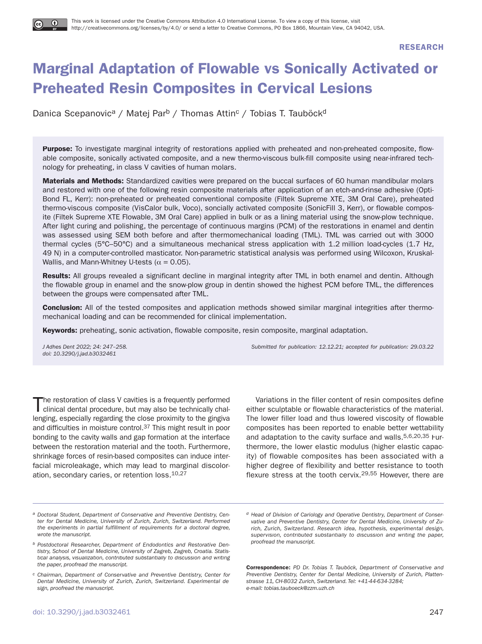**RESEARCH**

# **Marginal Adaptation of Flowable vs Sonically Activated or Preheated Resin Composites in Cervical Lesions**

Danica Scepanovic<sup>a</sup> / Matej Par<sup>b</sup> / Thomas Attin<sup>c</sup> / Tobias T. Tauböck<sup>d</sup>

**Purpose:** To investigate marginal integrity of restorations applied with preheated and non-preheated composite, flowable composite, sonically activated composite, and a new thermo-viscous bulk-fill composite using near-infrared technology for preheating, in class V cavities of human molars.

**Materials and Methods:** Standardized cavities were prepared on the buccal surfaces of 60 human mandibular molars and restored with one of the following resin composite materials after application of an etch-and-rinse adhesive (Opti-Bond FL, Kerr): non-preheated or preheated conventional composite (Filtek Supreme XTE, 3M Oral Care), preheated thermo-viscous composite (VisCalor bulk, Voco), soncially activated composite (SonicFill 3, Kerr), or flowable composite (Filtek Supreme XTE Flowable, 3M Oral Care) applied in bulk or as a lining material using the snow-plow technique. After light curing and polishing, the percentage of continuous margins (PCM) of the restorations in enamel and dentin was assessed using SEM both before and after thermomechanical loading (TML). TML was carried out with 3000 thermal cycles (5°C–50°C) and a simultaneous mechanical stress application with 1.2 million load-cycles (1.7 Hz, 49 N) in a computer-controlled masticator. Non-parametric statistical analysis was performed using Wilcoxon, Kruskal-Wallis, and Mann-Whitney U-tests ( $\alpha$  = 0.05).

**Results:** All groups revealed a significant decline in marginal integrity after TML in both enamel and dentin. Although the flowable group in enamel and the snow-plow group in dentin showed the highest PCM before TML, the differences between the groups were compensated after TML.

**Conclusion:** All of the tested composites and application methods showed similar marginal integrities after thermomechanical loading and can be recommended for clinical implementation.

**Keywords:** preheating, sonic activation, flowable composite, resin composite, marginal adaptation.

doi: 10.3290/j.jad.b3032461

J Adhes Dent 2022; 24: 247–258. Submitted for publication: 12.12.21; accepted for publication: 29.03.22

The restoration of class V cavities is a frequently performed clinical dental procedure, but may also be technically challenging, especially regarding the close proximity to the gingiva and difficulties in moisture control.37 This might result in poor bonding to the cavity walls and gap formation at the interface between the restoration material and the tooth. Furthermore, shrinkage forces of resin-based composites can induce interfacial microleakage, which may lead to marginal discoloration, secondary caries, or retention loss.10,27

Variations in the filler content of resin composites define either sculptable or flowable characteristics of the material. The lower filler load and thus lowered viscosity of flowable composites has been reported to enable better wettability and adaptation to the cavity surface and walls.5,6,20,35 Furthermore, the lower elastic modulus (higher elastic capacity) of flowable composites has been associated with a higher degree of flexibility and better resistance to tooth flexure stress at the tooth cervix.29,55 However, there are

**Correspondence:** PD Dr. Tobias T. Tauböck, Department of Conservative and Preventive Dentistry, Center for Dental Medicine, University of Zurich, Plattenstrasse 11, CH-8032 Zurich, Switzerland. Tel: +41-44-634-3284; e-mail: tobias.tauboeck@zzm.uzh.ch

a Doctoral Student, Department of Conservative and Preventive Dentistry, Center for Dental Medicine, University of Zurich, Zurich, Switzerland. Performed the experiments in partial fulfillment of requirements for a doctoral degree, wrote the manuscript.

b Postdoctoral Researcher, Department of Endodontics and Restorative Dentistry, School of Dental Medicine, University of Zagreb, Zagreb, Croatia. Statistical analysis, visualization, contributed substantially to discussion and writing the paper, proofread the manuscript.

c Chairman, Department of Conservative and Preventive Dentistry, Center for Dental Medicine, University of Zurich, Zurich, Switzerland. Experimental design, proofread the manuscript.

d Head of Division of Cariology and Operative Dentistry, Department of Conservative and Preventive Dentistry, Center for Dental Medicine, University of Zurich, Zurich, Switzerland. Research idea, hypothesis, experimental design, supervision, contributed substantially to discussion and writing the paper, proofread the manuscript.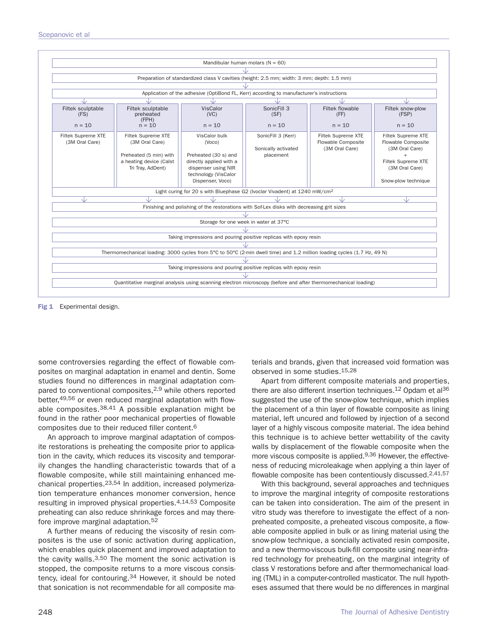

**Fig 1** Experimental design.

some controversies regarding the effect of flowable composites on marginal adaptation in enamel and dentin. Some studies found no differences in marginal adaptation compared to conventional composites,<sup>2,9</sup> while others reported better,49,56 or even reduced marginal adaptation with flowable composites.38,41 A possible explanation might be found in the rather poor mechanical properties of flowable composites due to their reduced filler content.6

An approach to improve marginal adaptation of composite restorations is preheating the composite prior to application in the cavity, which reduces its viscosity and temporarily changes the handling characteristic towards that of a flowable composite, while still maintaining enhanced mechanical properties.23,54 In addition, increased polymerization temperature enhances monomer conversion, hence resulting in improved physical properties.4,14,53 Composite preheating can also reduce shrinkage forces and may therefore improve marginal adaptation.52

A further means of reducing the viscosity of resin composites is the use of sonic activation during application, which enables quick placement and improved adaptation to the cavity walls. $3,50$  The moment the sonic activation is stopped, the composite returns to a more viscous consistency, ideal for contouring.<sup>34</sup> However, it should be noted that sonication is not recommendable for all composite materials and brands, given that increased void formation was observed in some studies.15,28

Apart from different composite materials and properties, there are also different insertion techniques.12 Opdam et al36 suggested the use of the snow-plow technique, which implies the placement of a thin layer of flowable composite as lining material, left uncured and followed by injection of a second layer of a highly viscous composite material. The idea behind this technique is to achieve better wettability of the cavity walls by displacement of the flowable composite when the more viscous composite is applied.9,36 However, the effectiveness of reducing microleakage when applying a thin layer of flowable composite has been contentiously discussed.<sup>2,41,57</sup>

With this background, several approaches and techniques to improve the marginal integrity of composite restorations can be taken into consideration. The aim of the present in vitro study was therefore to investigate the effect of a nonpreheated composite, a preheated viscous composite, a flowable composite applied in bulk or as lining material using the snow-plow technique, a soncially activated resin composite, and a new thermo-viscous bulk-fill composite using near-infrared technology for preheating, on the marginal integrity of class V restorations before and after thermomechanical loading (TML) in a computer-controlled masticator. The null hypotheses assumed that there would be no differences in marginal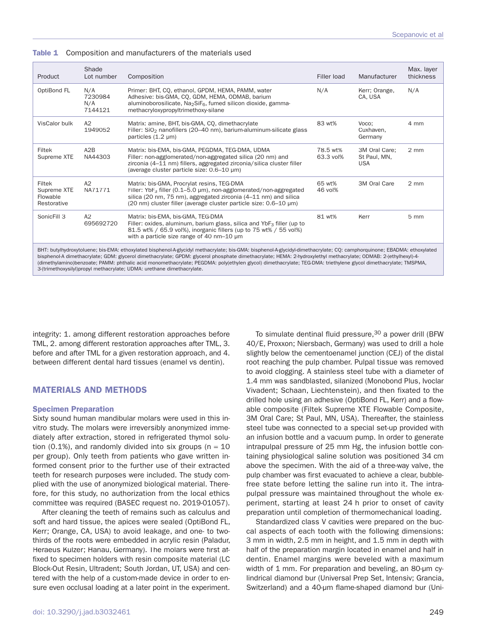| Product                                                                                                                                                                                                                                                                                                                                                                                                                                                                                                                                                                                 | Shade<br>Lot number              | Composition                                                                                                                                                                                                                                                              | <b>Filler load</b>    | Manufacturer                                | Max. layer<br>thickness |
|-----------------------------------------------------------------------------------------------------------------------------------------------------------------------------------------------------------------------------------------------------------------------------------------------------------------------------------------------------------------------------------------------------------------------------------------------------------------------------------------------------------------------------------------------------------------------------------------|----------------------------------|--------------------------------------------------------------------------------------------------------------------------------------------------------------------------------------------------------------------------------------------------------------------------|-----------------------|---------------------------------------------|-------------------------|
| OptiBond FL                                                                                                                                                                                                                                                                                                                                                                                                                                                                                                                                                                             | N/A<br>7230984<br>N/A<br>7144121 | Primer: BHT, CQ, ethanol, GPDM, HEMA, PAMM, water<br>Adhesive: bis-GMA, CQ, GDM, HEMA, ODMAB, barium<br>aluminoborosilicate, $Na2SiF6$ , fumed silicon dioxide, gamma-<br>methacryloxypropyltrimethoxy-silane                                                            | N/A                   | Kerr; Orange,<br>CA, USA                    | N/A                     |
| VisCalor bulk                                                                                                                                                                                                                                                                                                                                                                                                                                                                                                                                                                           | A2<br>1949052                    | Matrix: amine, BHT, bis-GMA, CQ, dimethacrylate<br>Filler: SiO <sub>2</sub> nanofillers (20–40 nm), barium-aluminum-silicate glass<br>particles (1.2 µm)                                                                                                                 | 83 wt%                | Voco;<br>Cuxhaven.<br>Germany               | 4 mm                    |
| Filtek<br>Supreme XTE                                                                                                                                                                                                                                                                                                                                                                                                                                                                                                                                                                   | A2B<br>NA44303                   | Matrix: bis-EMA, bis-GMA, PEGDMA, TEG-DMA, UDMA<br>Filler: non-agglomerated/non-aggregated silica (20 nm) and<br>zirconia (4–11 nm) fillers, aggregated zirconia/silica cluster filler<br>(average cluster particle size: 0.6-10 µm)                                     | 78.5 wt%<br>63.3 vol% | 3M Oral Care:<br>St Paul, MN,<br><b>USA</b> | $2 \, \text{mm}$        |
| Filtek<br>Supreme XTE<br>Flowable<br>Restorative                                                                                                                                                                                                                                                                                                                                                                                                                                                                                                                                        | A2<br>NA71771                    | Matrix: bis-GMA, Procrylat resins, TEG-DMA<br>Filler: YbF <sub>3</sub> filler (0.1–5.0 $\mu$ m), non-agglomerated/non-aggregated<br>silica (20 nm, 75 nm), aggregated zirconia (4-11 nm) and silica<br>(20 nm) cluster filler (average cluster particle size: 0.6–10 µm) | 65 wt%<br>46 vol%     | 3M Oral Care                                | $2 \, \text{mm}$        |
| SonicFill 3                                                                                                                                                                                                                                                                                                                                                                                                                                                                                                                                                                             | A2<br>695692720                  | Matrix: bis-EMA, bis-GMA, TEG-DMA<br>Filler: oxides, aluminum, barium glass, silica and $YbF_3$ filler (up to<br>81.5 wt% / 65.9 vol%), inorganic fillers (up to 75 wt% / 55 vol%)<br>with a particle size range of 40 nm-10 um                                          | 81 wt%                | Kerr                                        | 5 mm                    |
| BHT: butylhydroxytoluene; bis-EMA: ethoxylated bisphenol-A-glycidyl methacrylate; bis-GMA: bisphenol-A-glycidyl-dimethacrylate; CQ: camphorquinone; EBADMA: ethoxylated<br>bisphenol-A dimethacrylate; GDM: glycerol dimethacrylate; GPDM: glycerol phosphate dimethacrylate; HEMA: 2-hydroxylethyl methacrylate; ODMAB: 2-(ethylhexyl)-4-<br>(dimethylamino)benzoate; PAMM: phthalic acid monomethacrylate; PEGDMA: poly(ethylen glycol) dimethacrylate; TEG-DMA: triethylene glycol dimethacrylate; TMSPMA,<br>3-(trimethoxysilyl)propyl methacrylate; UDMA: urethane dimethacrylate. |                                  |                                                                                                                                                                                                                                                                          |                       |                                             |                         |

#### **Table 1** Composition and manufacturers of the materials used

integrity: 1. among different restoration approaches before TML, 2. among different restoration approaches after TML, 3. before and after TML for a given restoration approach, and 4. between different dental hard tissues (enamel vs dentin).

# **MATERIALS AND METHODS**

# **Specimen Preparation**

Sixty sound human mandibular molars were used in this invitro study. The molars were irreversibly anonymized immediately after extraction, stored in refrigerated thymol solution (0.1%), and randomly divided into six groups ( $n = 10$ ) per group). Only teeth from patients who gave written informed consent prior to the further use of their extracted teeth for research purposes were included. The study complied with the use of anonymized biological material. Therefore, for this study, no authorization from the local ethics committee was required (BASEC request no. 2019-01057).

After cleaning the teeth of remains such as calculus and soft and hard tissue, the apices were sealed (OptiBond FL, Kerr; Orange, CA, USA) to avoid leakage, and one- to twothirds of the roots were embedded in acrylic resin (Paladur, Heraeus Kulzer; Hanau, Germany). The molars were first affixed to specimen holders with resin composite material (LC Block-Out Resin, Ultradent; South Jordan, UT, USA) and centered with the help of a custom-made device in order to ensure even occlusal loading at a later point in the experiment.

To simulate dentinal fluid pressure, 30 a power drill (BFW 40/E, Proxxon; Niersbach, Germany) was used to drill a hole slightly below the cementoenamel junction (CEJ) of the distal root reaching the pulp chamber. Pulpal tissue was removed to avoid clogging. A stainless steel tube with a diameter of 1.4 mm was sandblasted, silanized (Monobond Plus, Ivoclar Vivadent; Schaan, Liechtenstein), and then fixated to the drilled hole using an adhesive (OptiBond FL, Kerr) and a flowable composite (Filtek Supreme XTE Flowable Composite, 3M Oral Care; St Paul, MN, USA). Thereafter, the stainless steel tube was connected to a special set-up provided with an infusion bottle and a vacuum pump. In order to generate intrapulpal pressure of 25 mm Hg, the infusion bottle containing physiological saline solution was positioned 34 cm above the specimen. With the aid of a three-way valve, the pulp chamber was first evacuated to achieve a clear, bubblefree state before letting the saline run into it. The intrapulpal pressure was maintained throughout the whole experiment, starting at least 24 h prior to onset of cavity preparation until completion of thermomechanical loading.

Standardized class V cavities were prepared on the buccal aspects of each tooth with the following dimensions: 3 mm in width, 2.5 mm in height, and 1.5 mm in depth with half of the preparation margin located in enamel and half in dentin. Enamel margins were beveled with a maximum width of 1 mm. For preparation and beveling, an 80-μm cylindrical diamond bur (Universal Prep Set, Intensiv; Grancia, Switzerland) and a 40-μm flame-shaped diamond bur (Uni-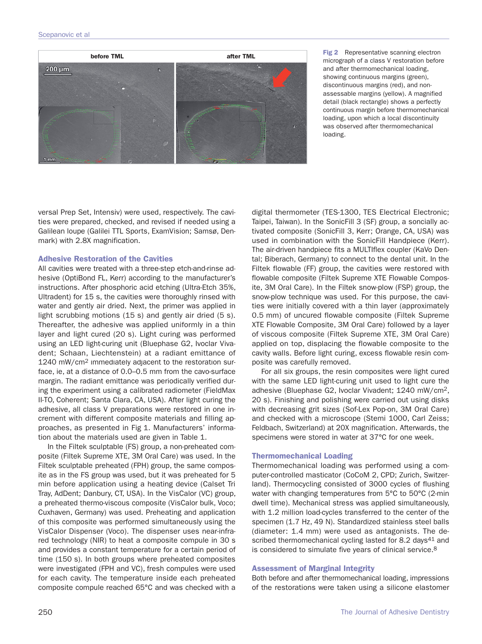

**Fig 2** Representative scanning electron micrograph of a class V restoration before and after thermomechanical loading, showing continuous margins (green), discontinuous margins (red), and nonassessable margins (yellow). A magnified detail (black rectangle) shows a perfectly continuous margin before thermomechanical loading, upon which a local discontinuity was observed after thermomechanical loading.

versal Prep Set, Intensiv) were used, respectively. The cavities were prepared, checked, and revised if needed using a Galilean loupe (Galilei TTL Sports, ExamVision; Samsø, Denmark) with 2.8X magnification.

# **Adhesive Restoration of the Cavities**

All cavities were treated with a three-step etch-and-rinse adhesive (OptiBond FL, Kerr) according to the manufacturer's instructions. After phosphoric acid etching (Ultra-Etch 35%, Ultradent) for 15 s, the cavities were thoroughly rinsed with water and gently air dried. Next, the primer was applied in light scrubbing motions (15 s) and gently air dried (5 s). Thereafter, the adhesive was applied uniformly in a thin layer and light cured (20 s). Light curing was performed using an LED light-curing unit (Bluephase G2, Ivoclar Vivadent; Schaan, Liechtenstein) at a radiant emittance of 1240 mW/cm2 immediately adjacent to the restoration surface, ie, at a distance of 0.0–0.5 mm from the cavo-surface margin. The radiant emittance was periodically verified during the experiment using a calibrated radiometer (FieldMax II-TO, Coherent; Santa Clara, CA, USA). After light curing the adhesive, all class V preparations were restored in one increment with different composite materials and filling approaches, as presented in Fig 1. Manufacturers' information about the materials used are given in Table 1.

In the Filtek sculptable (FS) group, a non-preheated composite (Filtek Supreme XTE, 3M Oral Care) was used. In the Filtek sculptable preheated (FPH) group, the same composite as in the FS group was used, but it was preheated for 5 min before application using a heating device (Calset Tri Tray, AdDent; Danbury, CT, USA). In the VisCalor (VC) group, a preheated thermo-viscous composite (VisCalor bulk, Voco; Cuxhaven, Germany) was used. Preheating and application of this composite was performed simultaneously using the VisCalor Dispenser (Voco). The dispenser uses near-infrared technology (NIR) to heat a composite compule in 30 s and provides a constant temperature for a certain period of time (150 s). In both groups where preheated composites were investigated (FPH and VC), fresh compules were used for each cavity. The temperature inside each preheated composite compule reached 65°C and was checked with a

digital thermometer (TES-1300, TES Electrical Electronic; Taipei, Taiwan). In the SonicFill 3 (SF) group, a soncially activated composite (SonicFill 3, Kerr; Orange, CA, USA) was used in combination with the SonicFill Handpiece (Kerr). The air-driven handpiece fits a MULTIflex coupler (KaVo Dental; Biberach, Germany) to connect to the dental unit. In the Filtek flowable (FF) group, the cavities were restored with flowable composite (Filtek Supreme XTE Flowable Composite, 3M Oral Care). In the Filtek snow-plow (FSP) group, the snow-plow technique was used. For this purpose, the cavities were initially covered with a thin layer (approximately 0.5 mm) of uncured flowable composite (Filtek Supreme XTE Flowable Composite, 3M Oral Care) followed by a layer of viscous composite (Filtek Supreme XTE, 3M Oral Care) applied on top, displacing the flowable composite to the cavity walls. Before light curing, excess flowable resin composite was carefully removed.

For all six groups, the resin composites were light cured with the same LED light-curing unit used to light cure the adhesive (Bluephase G2, Ivoclar Vivadent; 1240 mW/cm2, 20 s). Finishing and polishing were carried out using disks with decreasing grit sizes (Sof-Lex Pop-on, 3M Oral Care) and checked with a microscope (Stemi 1000, Carl Zeiss; Feldbach, Switzerland) at 20X magnification. Afterwards, the specimens were stored in water at 37°C for one week.

# **Thermomechanical Loading**

Thermomechanical loading was performed using a computer-controlled masticator (CoCoM 2, CPD; Zurich, Switzerland). Thermocycling consisted of 3000 cycles of flushing water with changing temperatures from 5°C to 50°C (2-min dwell time). Mechanical stress was applied simultaneously, with 1.2 million load-cycles transferred to the center of the specimen (1.7 Hz, 49 N). Standardized stainless steel balls (diameter: 1.4 mm) were used as antagonists. The described thermomechanical cycling lasted for 8.2 days<sup>41</sup> and is considered to simulate five years of clinical service.8

# **Assessment of Marginal Integrity**

Both before and after thermomechanical loading, impressions of the restorations were taken using a silicone elastomer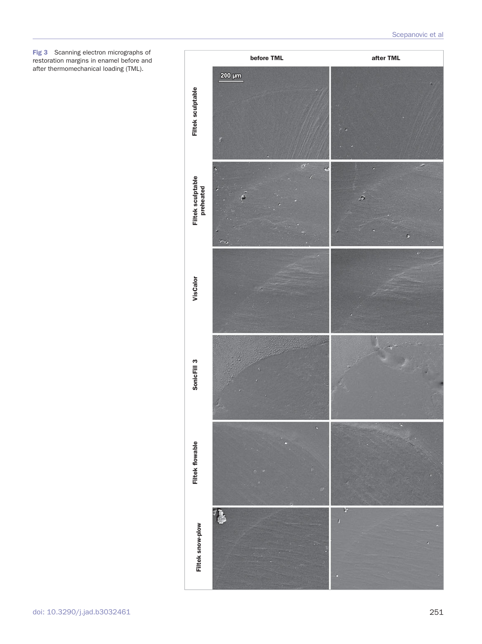**Fig 3** Scanning electron micrographs of restoration margins in enamel before and after thermomechanical loading (TML).

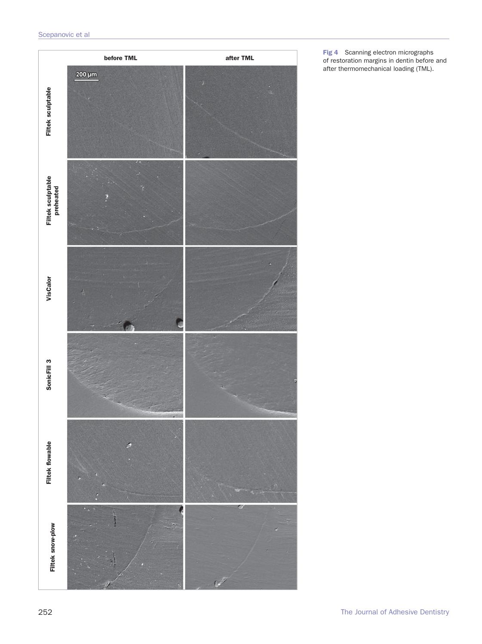

**Fig 4** Scanning electron micrographs of restoration margins in dentin before and after thermomechanical loading (TML).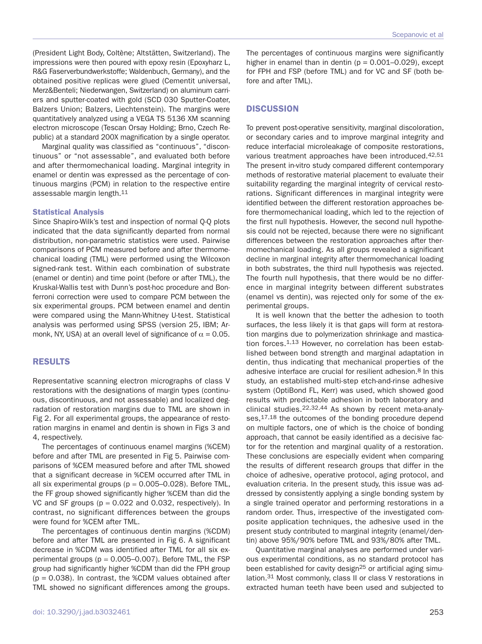(President Light Body, Coltène; Altstätten, Switzerland). The impressions were then poured with epoxy resin (Epoxyharz L, R&G Faserverbundwerkstoffe; Waldenbuch, Germany), and the obtained positive replicas were glued (Cementit universal, Merz&Benteli; Niederwangen, Switzerland) on aluminum carriers and sputter-coated with gold (SCD 030 Sputter-Coater, Balzers Union; Balzers, Liechtenstein). The margins were quantitatively analyzed using a VEGA TS 5136 XM scanning electron microscope (Tescan Orsay Holding; Brno, Czech Republic) at a standard 200X magnification by a single operator.

Marginal quality was classified as "continuous", "discontinuous" or "not assessable", and evaluated both before and after thermomechanical loading. Marginal integrity in enamel or dentin was expressed as the percentage of continuous margins (PCM) in relation to the respective entire assessable margin length.11

#### **Statistical Analysis**

Since Shapiro-Wilk's test and inspection of normal Q-Q plots indicated that the data significantly departed from normal distribution, non-parametric statistics were used. Pairwise comparisons of PCM measured before and after thermomechanical loading (TML) were performed using the Wilcoxon signed-rank test. Within each combination of substrate (enamel or dentin) and time point (before or after TML), the Kruskal-Wallis test with Dunn's post-hoc procedure and Bonferroni correction were used to compare PCM between the six experimental groups. PCM between enamel and dentin were compared using the Mann-Whitney U-test. Statistical analysis was performed using SPSS (version 25, IBM; Armonk, NY, USA) at an overall level of significance of  $\alpha = 0.05$ .

# **RESULTS**

Representative scanning electron micrographs of class V restorations with the designations of margin types (continuous, discontinuous, and not assessable) and localized degradation of restoration margins due to TML are shown in Fig 2. For all experimental groups, the appearance of restoration margins in enamel and dentin is shown in Figs 3 and 4, respectively.

The percentages of continuous enamel margins (%CEM) before and after TML are presented in Fig 5. Pairwise comparisons of %CEM measured before and after TML showed that a significant decrease in %CEM occurred after TML in all six experimental groups ( $p = 0.005 - 0.028$ ). Before TML, the FF group showed significantly higher %CEM than did the VC and SF groups ( $p = 0.022$  and 0.032, respectively). In contrast, no significant differences between the groups were found for %CEM after TML.

The percentages of continuous dentin margins (%CDM) before and after TML are presented in Fig 6. A significant decrease in %CDM was identified after TML for all six experimental groups ( $p = 0.005-0.007$ ). Before TML, the FSP group had significantly higher %CDM than did the FPH group  $(p = 0.038)$ . In contrast, the %CDM values obtained after TML showed no significant differences among the groups.

The percentages of continuous margins were significantly higher in enamel than in dentin ( $p = 0.001 - 0.029$ ), except for FPH and FSP (before TML) and for VC and SF (both before and after TML).

# **DISCUSSION**

To prevent post-operative sensitivity, marginal discoloration, or secondary caries and to improve marginal integrity and reduce interfacial microleakage of composite restorations, various treatment approaches have been introduced.42,51 The present in-vitro study compared different contemporary methods of restorative material placement to evaluate their suitability regarding the marginal integrity of cervical restorations. Significant differences in marginal integrity were identified between the different restoration approaches before thermomechanical loading, which led to the rejection of the first null hypothesis. However, the second null hypothesis could not be rejected, because there were no significant differences between the restoration approaches after thermomechanical loading. As all groups revealed a significant decline in marginal integrity after thermomechanical loading in both substrates, the third null hypothesis was rejected. The fourth null hypothesis, that there would be no difference in marginal integrity between different substrates (enamel vs dentin), was rejected only for some of the experimental groups.

It is well known that the better the adhesion to tooth surfaces, the less likely it is that gaps will form at restoration margins due to polymerization shrinkage and mastication forces.<sup>1,13</sup> However, no correlation has been established between bond strength and marginal adaptation in dentin, thus indicating that mechanical properties of the adhesive interface are crucial for resilient adhesion.<sup>8</sup> In this study, an established multi-step etch-and-rinse adhesive system (OptiBond FL, Kerr) was used, which showed good results with predictable adhesion in both laboratory and clinical studies.22,32,44 As shown by recent meta-analyses,  $17,18$  the outcomes of the bonding procedure depend on multiple factors, one of which is the choice of bonding approach, that cannot be easily identified as a decisive factor for the retention and marginal quality of a restoration. These conclusions are especially evident when comparing the results of different research groups that differ in the choice of adhesive, operative protocol, aging protocol, and evaluation criteria. In the present study, this issue was addressed by consistently applying a single bonding system by a single trained operator and performing restorations in a random order. Thus, irrespective of the investigated composite application techniques, the adhesive used in the present study contributed to marginal integrity (enamel/dentin) above 95%/90% before TML and 93%/80% after TML.

Quantitative marginal analyses are performed under various experimental conditions, as no standard protocol has been established for cavity design<sup>25</sup> or artificial aging simulation.31 Most commonly, class II or class V restorations in extracted human teeth have been used and subjected to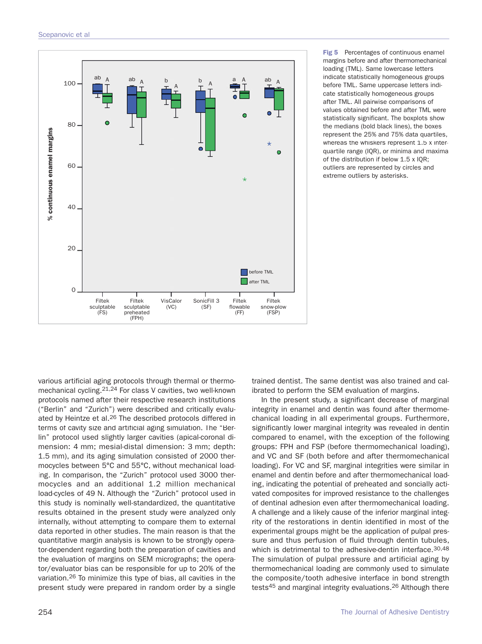

**Fig 5** Percentages of continuous enamel margins before and after thermomechanical loading (TML). Same lowercase letters indicate statistically homogeneous groups before TML. Same uppercase letters indicate statistically homogeneous groups after TML. All pairwise comparisons of values obtained before and after TML were statistically significant. The boxplots show the medians (bold black lines), the boxes represent the 25% and 75% data quartiles, whereas the whiskers represent 1.5 x interquartile range (IQR), or minima and maxima of the distribution if below 1.5 x IQR; outliers are represented by circles and extreme outliers by asterisks.

various artificial aging protocols through thermal or thermomechanical cycling.21,24 For class V cavities, two well-known protocols named after their respective research institutions ("Berlin" and "Zurich") were described and critically evaluated by Heintze et al.<sup>26</sup> The described protocols differed in terms of cavity size and artificial aging simulation. The "Berlin" protocol used slightly larger cavities (apical-coronal dimension: 4 mm; mesial-distal dimension: 3 mm; depth: 1.5 mm), and its aging simulation consisted of 2000 thermocycles between 5°C and 55°C, without mechanical loading. In comparison, the "Zurich" protocol used 3000 thermocycles and an additional 1.2 million mechanical load-cycles of 49 N. Although the "Zurich" protocol used in this study is nominally well-standardized, the quantitative results obtained in the present study were analyzed only internally, without attempting to compare them to external data reported in other studies. The main reason is that the quantitative margin analysis is known to be strongly operator-dependent regarding both the preparation of cavities and the evaluation of margins on SEM micrographs; the operator/evaluator bias can be responsible for up to 20% of the variation.26 To minimize this type of bias, all cavities in the present study were prepared in random order by a single

trained dentist. The same dentist was also trained and calibrated to perform the SEM evaluation of margins.

In the present study, a significant decrease of marginal integrity in enamel and dentin was found after thermomechanical loading in all experimental groups. Furthermore, significantly lower marginal integrity was revealed in dentin compared to enamel, with the exception of the following groups: FPH and FSP (before thermomechanical loading), and VC and SF (both before and after thermomechanical loading). For VC and SF, marginal integrities were similar in enamel and dentin before and after thermomechanical loading, indicating the potential of preheated and soncially activated composites for improved resistance to the challenges of dentinal adhesion even after thermomechanical loading. A challenge and a likely cause of the inferior marginal integrity of the restorations in dentin identified in most of the experimental groups might be the application of pulpal pressure and thus perfusion of fluid through dentin tubules, which is detrimental to the adhesive-dentin interface.<sup>30,48</sup> The simulation of pulpal pressure and artificial aging by thermomechanical loading are commonly used to simulate the composite/tooth adhesive interface in bond strength tests45 and marginal integrity evaluations.26 Although there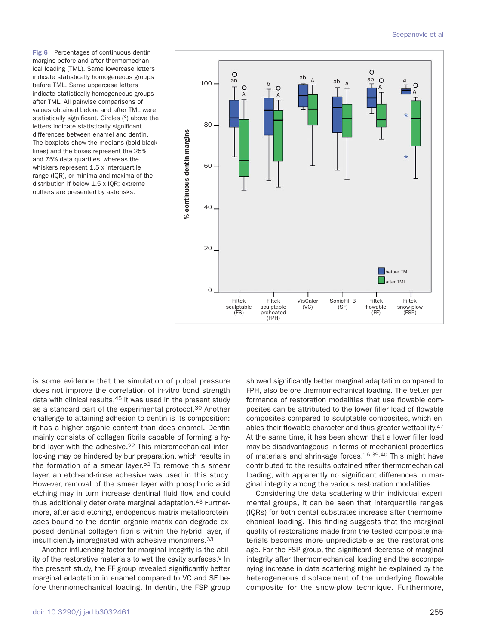**Fig 6** Percentages of continuous dentin margins before and after thermomechanical loading (TML). Same lowercase letters indicate statistically homogeneous groups before TML. Same uppercase letters indicate statistically homogeneous groups after TML. All pairwise comparisons of values obtained before and after TML were statistically significant. Circles (°) above the letters indicate statistically significant differences between enamel and dentin. The boxplots show the medians (bold black lines) and the boxes represent the 25% and 75% data quartiles, whereas the whiskers represent 1.5 x interquartile range (IQR), or minima and maxima of the distribution if below 1.5 x IQR; extreme outliers are presented by asterisks.



is some evidence that the simulation of pulpal pressure does not improve the correlation of in-vitro bond strength data with clinical results, 45 it was used in the present study as a standard part of the experimental protocol.30 Another challenge to attaining adhesion to dentin is its composition: it has a higher organic content than does enamel. Dentin mainly consists of collagen fibrils capable of forming a hybrid layer with the adhesive.<sup>22</sup> This micromechanical interlocking may be hindered by bur preparation, which results in the formation of a smear layer.<sup>51</sup> To remove this smear layer, an etch-and-rinse adhesive was used in this study. However, removal of the smear layer with phosphoric acid etching may in turn increase dentinal fluid flow and could thus additionally deteriorate marginal adaptation.<sup>43</sup> Furthermore, after acid etching, endogenous matrix metalloproteinases bound to the dentin organic matrix can degrade exposed dentinal collagen fibrils within the hybrid layer, if insufficiently impregnated with adhesive monomers.33

Another influencing factor for marginal integrity is the ability of the restorative materials to wet the cavity surfaces.<sup>9</sup> In the present study, the FF group revealed significantly better marginal adaptation in enamel compared to VC and SF before thermomechanical loading. In dentin, the FSP group

doi: 10.3290/j.jad.b3032461 255

showed significantly better marginal adaptation compared to FPH, also before thermomechanical loading. The better performance of restoration modalities that use flowable composites can be attributed to the lower filler load of flowable composites compared to sculptable composites, which enables their flowable character and thus greater wettability.47 At the same time, it has been shown that a lower filler load may be disadvantageous in terms of mechanical properties of materials and shrinkage forces.16,39,40 This might have contributed to the results obtained after thermomechanical loading, with apparently no significant differences in marginal integrity among the various restoration modalities.

Considering the data scattering within individual experimental groups, it can be seen that interquartile ranges (IQRs) for both dental substrates increase after thermomechanical loading. This finding suggests that the marginal quality of restorations made from the tested composite materials becomes more unpredictable as the restorations age. For the FSP group, the significant decrease of marginal integrity after thermomechanical loading and the accompanying increase in data scattering might be explained by the heterogeneous displacement of the underlying flowable composite for the snow-plow technique. Furthermore,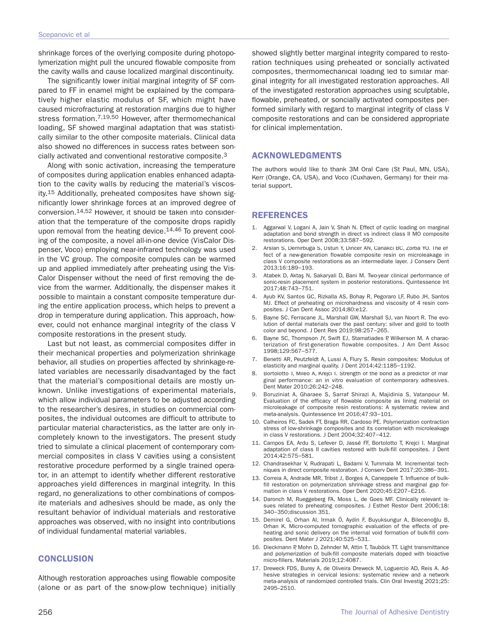shrinkage forces of the overlying composite during photopolymerization might pull the uncured flowable composite from the cavity walls and cause localized marginal discontinuity.

The significantly lower initial marginal integrity of SF compared to FF in enamel might be explained by the comparatively higher elastic modulus of SF, which might have caused microfracturing at restoration margins due to higher stress formation.<sup>7,19,50</sup> However, after thermomechanical loading, SF showed marginal adaptation that was statistically similar to the other composite materials. Clinical data also showed no differences in success rates between soncially activated and conventional restorative composite.3

Along with sonic activation, increasing the temperature of composites during application enables enhanced adaptation to the cavity walls by reducing the material's viscosity.15 Additionally, preheated composites have shown significantly lower shrinkage forces at an improved degree of conversion.14,52 However, it should be taken into consideration that the temperature of the composite drops rapidly upon removal from the heating device.<sup>14,46</sup> To prevent cooling of the composite, a novel all-in-one device (VisCalor Dispenser, Voco) employing near-infrared technology was used in the VC group. The composite compules can be warmed up and applied immediately after preheating using the Vis-Calor Dispenser without the need of first removing the device from the warmer. Additionally, the dispenser makes it possible to maintain a constant composite temperature during the entire application process, which helps to prevent a drop in temperature during application. This approach, however, could not enhance marginal integrity of the class V composite restorations in the present study.

Last but not least, as commercial composites differ in their mechanical properties and polymerization shrinkage behavior, all studies on properties affected by shrinkage-related variables are necessarily disadvantaged by the fact that the material's compositional details are mostly unknown. Unlike investigations of experimental materials, which allow individual parameters to be adjusted according to the researcher's desires, in studies on commercial composites, the individual outcomes are difficult to attribute to particular material characteristics, as the latter are only incompletely known to the investigators. The present study tried to simulate a clinical placement of contemporary commercial composites in class V cavities using a consistent restorative procedure performed by a single trained operator, in an attempt to identify whether different restorative approaches yield differences in marginal integrity. In this regard, no generalizations to other combinations of composite materials and adhesives should be made, as only the resultant behavior of individual materials and restorative approaches was observed, with no insight into contributions of individual fundamental material variables.

# **CONCLUSION**

Although restoration approaches using flowable composite (alone or as part of the snow-plow technique) initially

showed slightly better marginal integrity compared to restoration techniques using preheated or soncially activated composites, thermomechanical loading led to similar marginal integrity for all investigated restoration approaches. All of the investigated restoration approaches using sculptable, flowable, preheated, or soncially activated composites performed similarly with regard to marginal integrity of class V composite restorations and can be considered appropriate for clinical implementation.

# **ACKNOWLEDGMENTS**

The authors would like to thank 3M Oral Care (St Paul, MN, USA), Kerr (Orange, CA, USA), and Voco (Cuxhaven, Germany) for their material support.

# **REFERENCES**

- 1. Aggarwal V, Logani A, Jain V, Shah N. Effect of cyclic loading on marginal adaptation and bond strength in direct vs indirect class II MO composite restorations. Oper Dent 2008;33:587−592.
- 2. Arslan S, Demirbuga S, Ustun Y, Dincer AN, Canakci BC, Zorba YO. The effect of a new-generation flowable composite resin on microleakage in class V composite restorations as an intermediate layer. J Conserv Dent 2013;16:189−193.
- 3. Atabek D, Aktaş N, Sakaryali D, Bani M. Two-year clinical performance of sonic-resin placement system in posterior restorations. Quintessence Int 2017;48:743−751.
- 4. Ayub KV, Santos GC, Rizkalla AS, Bohay R, Pegoraro LF, Rubo JH, Santos MJ. Effect of preheating on microhardness and viscosity of 4 resin composites. J Can Dent Assoc 2014;80:e12.
- 5. Bayne SC, Ferracane JL, Marshall GW, Marshall SJ, van Noort R. The evolution of dental materials over the past century: silver and gold to tooth color and beyond. J Dent Res 2019;98:257−265.
- Bayne SC, Thompson JY, Swift EJ, Stamatiades P, Wilkerson M. A characterization of first-generation flowable composites. J Am Dent Assoc 1998;129:567−577.
- 7. Benetti AR, Peutzfeldt A, Lussi A, Flury S. Resin composites: Modulus of elasticity and marginal quality. J Dent 2014;42:1185−1192.
- 8. Bortolotto T, Mileo A, Krejci I. Strength of the bond as a predictor of marginal performance: an in vitro evaluation of contemporary adhesives. Dent Mater 2010;26:242−248.
- 9. Boruziniat A, Gharaee S, Sarraf Shirazi A, Majidinia S, Vatanpour M. Evaluation of the efficacy of flowable composite as lining material on microleakage of composite resin restorations: A systematic review and meta-analysis. Quintessence Int 2016;47:93−101.
- 10. Calheiros FC, Sadek FT, Braga RR, Cardoso PE. Polymerization contraction stress of low-shrinkage composites and its correlation with microleakage in class V restorations. J Dent 2004;32:407−412.
- 11. Campos EA, Ardu S, Lefever D, Jassé FF, Bortolotto T, Krejci I. Marginal adaptation of class II cavities restored with bulk-fill composites. J Dent 2014;42:575−581.
- 12. Chandrasekhar V, Rudrapati L, Badami V, Tummala M. Incremental techniques in direct composite restoration. J Conserv Dent 2017;20:386−391.
- 13. Correia A, Andrade MR, Tribst J, Borges A, Caneppele T. Influence of bulkfill restoration on polymerization shrinkage stress and marginal gap formation in class V restorations. Oper Dent 2020;45:E207−E216.
- 14. Daronch M, Rueggeberg FA, Moss L, de Goes MF. Clinically relevant issues related to preheating composites. J Esthet Restor Dent 2006;18: 340−350;discussion 351.
- 15. Demirel G, Orhan AI, Irmak Ö, Aydin F, Buyuksungur A, Bilecenoğlu B, Orhan K. Micro-computed tomographic evaluation of the effects of preheating and sonic delivery on the internal void formation of bulk-fill composites. Dent Mater J 2021;40:525−531.
- 16. Dieckmann P, Mohn D, Zehnder M, Attin T, Tauböck TT. Light transmittance and polymerization of bulk-fill composite materials doped with bioactive micro-fillers. Materials 2019;12:4087.
- 17. Dreweck FDS, Burey A, de Oliveira Dreweck M, Loguercio AD, Reis A. Adhesive strategies in cervical lesions: systematic review and a network meta-analysis of randomized controlled trials. Clin Oral Investig 2021;25: 2495–2510.